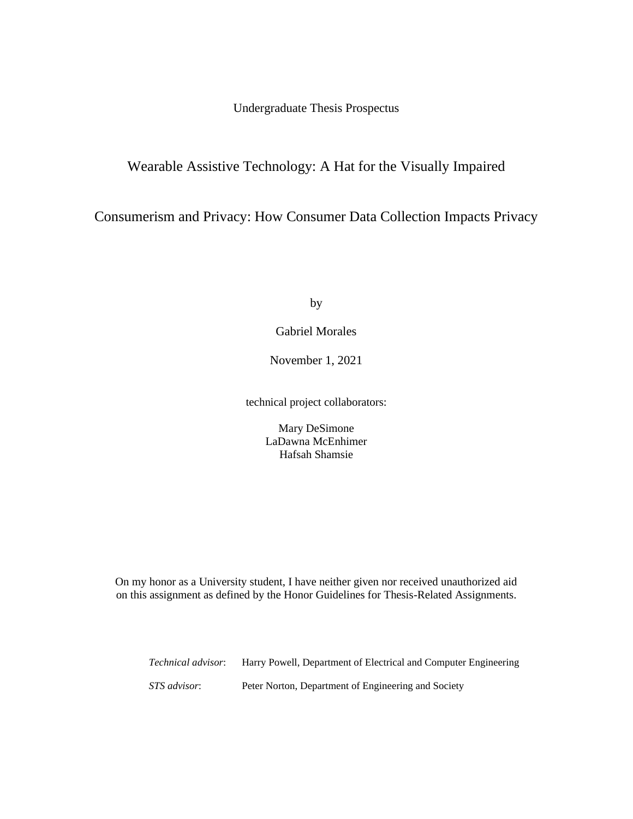Undergraduate Thesis Prospectus

# Wearable Assistive Technology: A Hat for the Visually Impaired

Consumerism and Privacy: How Consumer Data Collection Impacts Privacy

by

Gabriel Morales

November 1, 2021

technical project collaborators:

Mary DeSimone LaDawna McEnhimer Hafsah Shamsie

On my honor as a University student, I have neither given nor received unauthorized aid on this assignment as defined by the Honor Guidelines for Thesis-Related Assignments.

*Technical advisor*: Harry Powell, Department of Electrical and Computer Engineering *STS advisor*: Peter Norton, Department of Engineering and Society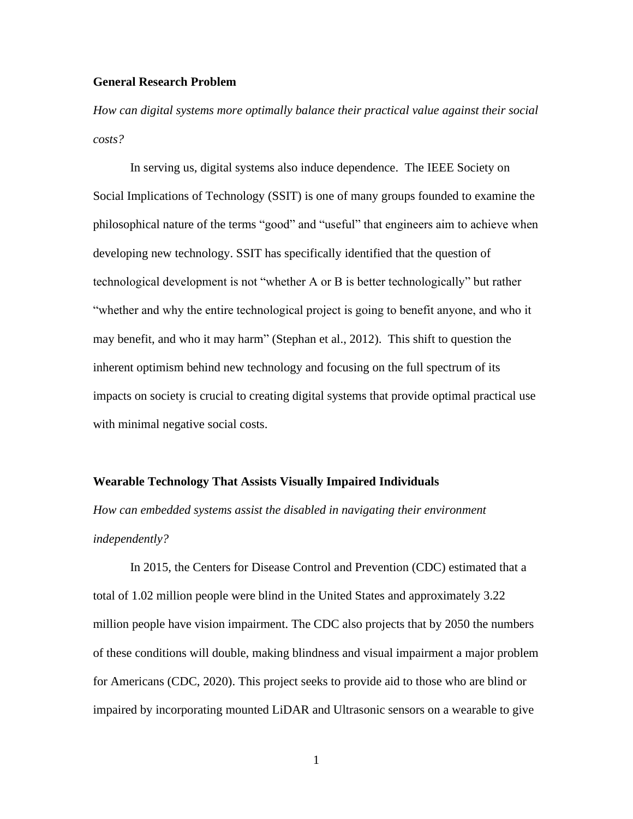## **General Research Problem**

*How can digital systems more optimally balance their practical value against their social costs?*

In serving us, digital systems also induce dependence. The IEEE Society on Social Implications of Technology (SSIT) is one of many groups founded to examine the philosophical nature of the terms "good" and "useful" that engineers aim to achieve when developing new technology. SSIT has specifically identified that the question of technological development is not "whether A or B is better technologically" but rather "whether and why the entire technological project is going to benefit anyone, and who it may benefit, and who it may harm" (Stephan et al., 2012). This shift to question the inherent optimism behind new technology and focusing on the full spectrum of its impacts on society is crucial to creating digital systems that provide optimal practical use with minimal negative social costs.

### **Wearable Technology That Assists Visually Impaired Individuals**

*How can embedded systems assist the disabled in navigating their environment independently?*

In 2015, the Centers for Disease Control and Prevention (CDC) estimated that a total of 1.02 million people were blind in the United States and approximately 3.22 million people have vision impairment. The CDC also projects that by 2050 the numbers of these conditions will double, making blindness and visual impairment a major problem for Americans (CDC, 2020). This project seeks to provide aid to those who are blind or impaired by incorporating mounted LiDAR and Ultrasonic sensors on a wearable to give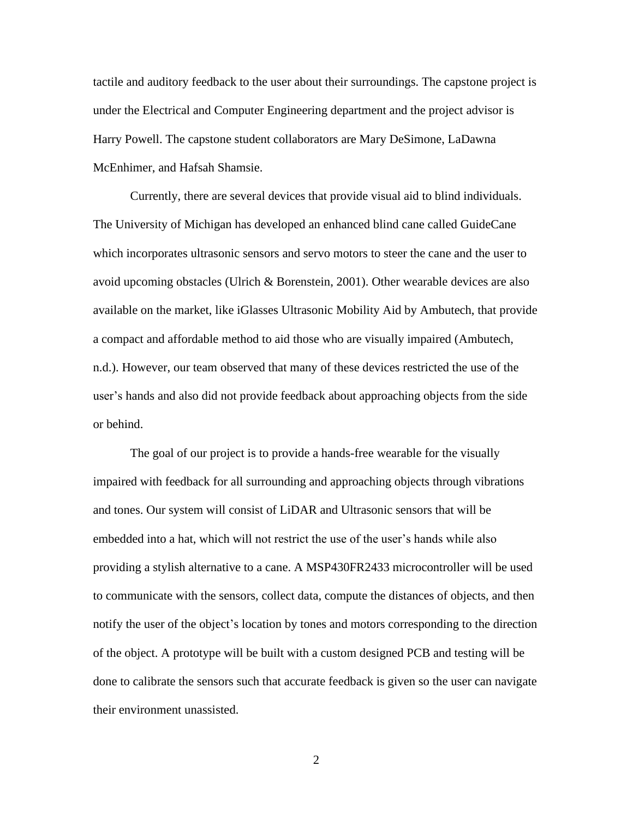tactile and auditory feedback to the user about their surroundings. The capstone project is under the Electrical and Computer Engineering department and the project advisor is Harry Powell. The capstone student collaborators are Mary DeSimone, LaDawna McEnhimer, and Hafsah Shamsie.

Currently, there are several devices that provide visual aid to blind individuals. The University of Michigan has developed an enhanced blind cane called GuideCane which incorporates ultrasonic sensors and servo motors to steer the cane and the user to avoid upcoming obstacles (Ulrich & Borenstein, 2001). Other wearable devices are also available on the market, like iGlasses Ultrasonic Mobility Aid by Ambutech, that provide a compact and affordable method to aid those who are visually impaired (Ambutech, n.d.). However, our team observed that many of these devices restricted the use of the user's hands and also did not provide feedback about approaching objects from the side or behind.

The goal of our project is to provide a hands-free wearable for the visually impaired with feedback for all surrounding and approaching objects through vibrations and tones. Our system will consist of LiDAR and Ultrasonic sensors that will be embedded into a hat, which will not restrict the use of the user's hands while also providing a stylish alternative to a cane. A MSP430FR2433 microcontroller will be used to communicate with the sensors, collect data, compute the distances of objects, and then notify the user of the object's location by tones and motors corresponding to the direction of the object. A prototype will be built with a custom designed PCB and testing will be done to calibrate the sensors such that accurate feedback is given so the user can navigate their environment unassisted.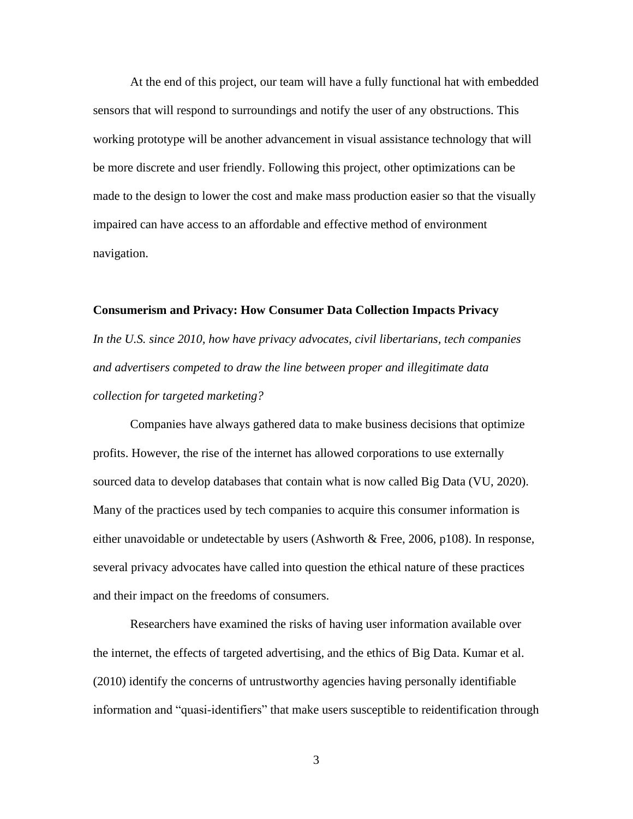At the end of this project, our team will have a fully functional hat with embedded sensors that will respond to surroundings and notify the user of any obstructions. This working prototype will be another advancement in visual assistance technology that will be more discrete and user friendly. Following this project, other optimizations can be made to the design to lower the cost and make mass production easier so that the visually impaired can have access to an affordable and effective method of environment navigation.

## **Consumerism and Privacy: How Consumer Data Collection Impacts Privacy**

*In the U.S. since 2010, how have privacy advocates, civil libertarians, tech companies and advertisers competed to draw the line between proper and illegitimate data collection for targeted marketing?*

Companies have always gathered data to make business decisions that optimize profits. However, the rise of the internet has allowed corporations to use externally sourced data to develop databases that contain what is now called Big Data (VU, 2020). Many of the practices used by tech companies to acquire this consumer information is either unavoidable or undetectable by users (Ashworth & Free, 2006, p108). In response, several privacy advocates have called into question the ethical nature of these practices and their impact on the freedoms of consumers.

Researchers have examined the risks of having user information available over the internet, the effects of targeted advertising, and the ethics of Big Data. Kumar et al. (2010) identify the concerns of untrustworthy agencies having personally identifiable information and "quasi-identifiers" that make users susceptible to reidentification through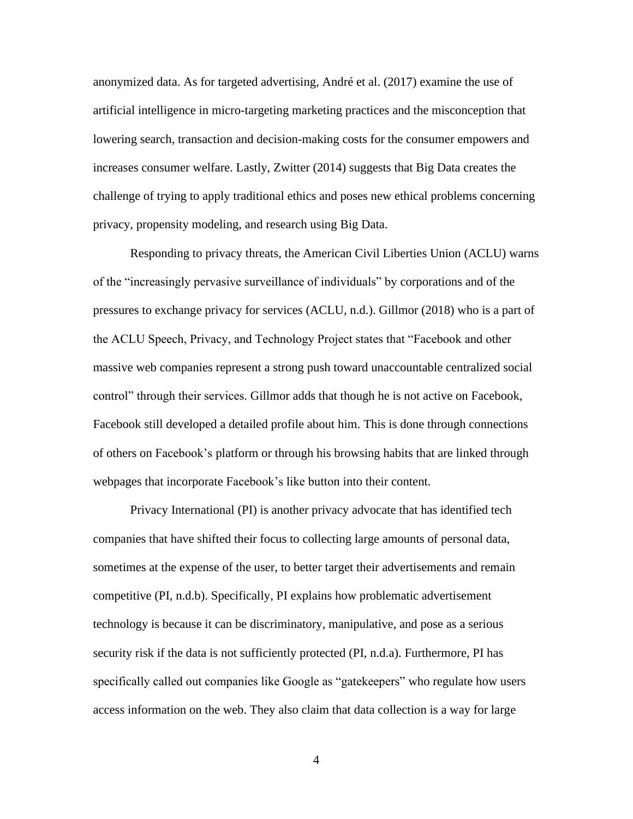anonymized data. As for targeted advertising, André et al. (2017) examine the use of artificial intelligence in micro-targeting marketing practices and the misconception that lowering search, transaction and decision-making costs for the consumer empowers and increases consumer welfare. Lastly, Zwitter (2014) suggests that Big Data creates the challenge of trying to apply traditional ethics and poses new ethical problems concerning privacy, propensity modeling, and research using Big Data.

Responding to privacy threats, the American Civil Liberties Union (ACLU) warns of the "increasingly pervasive surveillance of individuals" by corporations and of the pressures to exchange privacy for services (ACLU, n.d.). Gillmor (2018) who is a part of the ACLU Speech, Privacy, and Technology Project states that "Facebook and other massive web companies represent a strong push toward unaccountable centralized social control" through their services. Gillmor adds that though he is not active on Facebook, Facebook still developed a detailed profile about him. This is done through connections of others on Facebook's platform or through his browsing habits that are linked through webpages that incorporate Facebook's like button into their content.

Privacy International (PI) is another privacy advocate that has identified tech companies that have shifted their focus to collecting large amounts of personal data, sometimes at the expense of the user, to better target their advertisements and remain competitive (PI, n.d.b). Specifically, PI explains how problematic advertisement technology is because it can be discriminatory, manipulative, and pose as a serious security risk if the data is not sufficiently protected (PI, n.d.a). Furthermore, PI has specifically called out companies like Google as "gatekeepers" who regulate how users access information on the web. They also claim that data collection is a way for large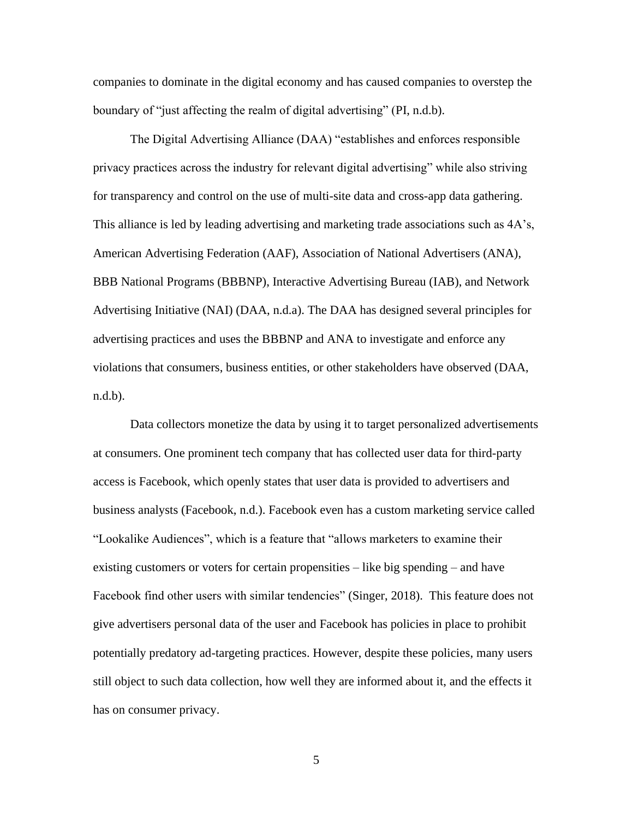companies to dominate in the digital economy and has caused companies to overstep the boundary of "just affecting the realm of digital advertising" (PI, n.d.b).

The Digital Advertising Alliance (DAA) "establishes and enforces responsible privacy practices across the industry for relevant digital advertising" while also striving for transparency and control on the use of multi-site data and cross-app data gathering. This alliance is led by leading advertising and marketing trade associations such as 4A's, American Advertising Federation (AAF), Association of National Advertisers (ANA), BBB National Programs (BBBNP), Interactive Advertising Bureau (IAB), and Network Advertising Initiative (NAI) (DAA, n.d.a). The DAA has designed several principles for advertising practices and uses the BBBNP and ANA to investigate and enforce any violations that consumers, business entities, or other stakeholders have observed (DAA, n.d.b).

Data collectors monetize the data by using it to target personalized advertisements at consumers. One prominent tech company that has collected user data for third-party access is Facebook, which openly states that user data is provided to advertisers and business analysts (Facebook, n.d.). Facebook even has a custom marketing service called "Lookalike Audiences", which is a feature that "allows marketers to examine their existing customers or voters for certain propensities – like big spending – and have Facebook find other users with similar tendencies" (Singer, 2018). This feature does not give advertisers personal data of the user and Facebook has policies in place to prohibit potentially predatory ad-targeting practices. However, despite these policies, many users still object to such data collection, how well they are informed about it, and the effects it has on consumer privacy.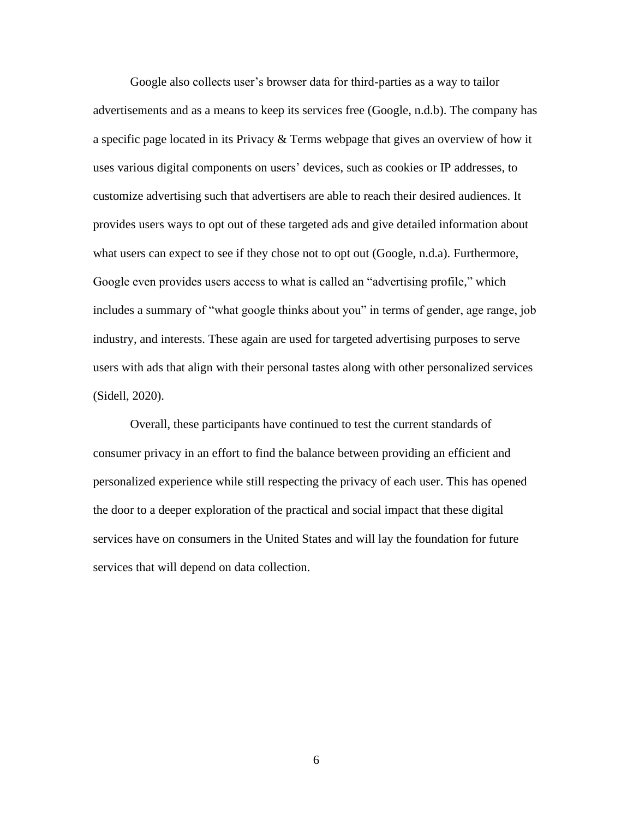Google also collects user's browser data for third-parties as a way to tailor advertisements and as a means to keep its services free (Google, n.d.b). The company has a specific page located in its Privacy & Terms webpage that gives an overview of how it uses various digital components on users' devices, such as cookies or IP addresses, to customize advertising such that advertisers are able to reach their desired audiences. It provides users ways to opt out of these targeted ads and give detailed information about what users can expect to see if they chose not to opt out (Google, n.d.a). Furthermore, Google even provides users access to what is called an "advertising profile," which includes a summary of "what google thinks about you" in terms of gender, age range, job industry, and interests. These again are used for targeted advertising purposes to serve users with ads that align with their personal tastes along with other personalized services (Sidell, 2020).

Overall, these participants have continued to test the current standards of consumer privacy in an effort to find the balance between providing an efficient and personalized experience while still respecting the privacy of each user. This has opened the door to a deeper exploration of the practical and social impact that these digital services have on consumers in the United States and will lay the foundation for future services that will depend on data collection.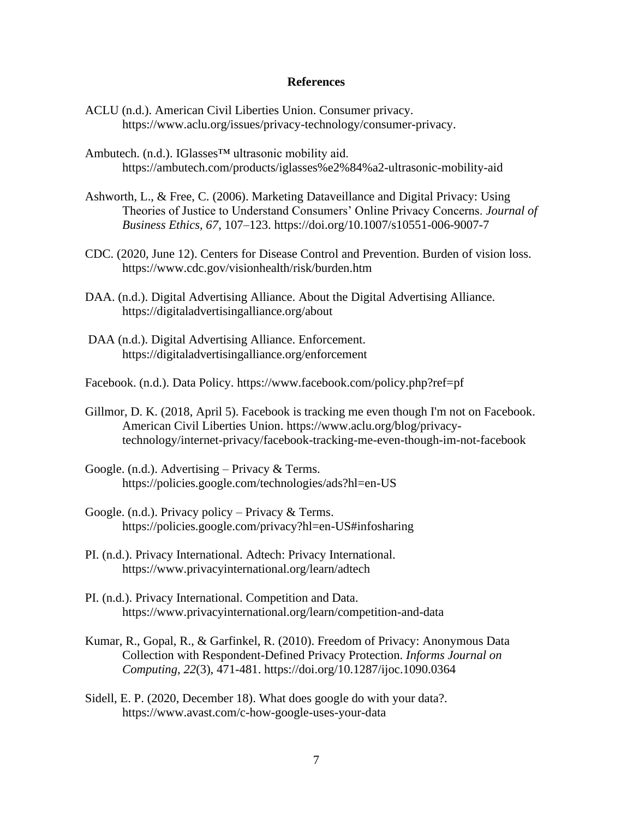#### **References**

- ACLU (n.d.). American Civil Liberties Union. Consumer privacy. https://www.aclu.org/issues/privacy-technology/consumer-privacy.
- Ambutech. (n.d.). IGlasses™ ultrasonic mobility aid. https://ambutech.com/products/iglasses%e2%84%a2-ultrasonic-mobility-aid
- Ashworth, L., & Free, C. (2006). Marketing Dataveillance and Digital Privacy: Using Theories of Justice to Understand Consumers' Online Privacy Concerns. *Journal of Business Ethics, 67*, 107–123. https://doi.org/10.1007/s10551-006-9007-7
- CDC. (2020, June 12). Centers for Disease Control and Prevention. Burden of vision loss. https://www.cdc.gov/visionhealth/risk/burden.htm
- DAA. (n.d.). Digital Advertising Alliance. About the Digital Advertising Alliance. https://digitaladvertisingalliance.org/about
- DAA (n.d.). Digital Advertising Alliance. Enforcement. https://digitaladvertisingalliance.org/enforcement
- Facebook. (n.d.). Data Policy. https://www.facebook.com/policy.php?ref=pf
- Gillmor, D. K. (2018, April 5). Facebook is tracking me even though I'm not on Facebook. American Civil Liberties Union. [https://www.aclu.org/blog/privacy](https://www.aclu.org/blog/privacy-technology/internet-privacy/facebook-tracking-me-even-though-im-not-facebook)[technology/internet-privacy/facebook-tracking-me-even-though-im-not-facebook](https://www.aclu.org/blog/privacy-technology/internet-privacy/facebook-tracking-me-even-though-im-not-facebook)
- Google. (n.d.). Advertising Privacy & Terms. https://policies.google.com/technologies/ads?hl=en-US
- Google. (n.d.). Privacy policy Privacy  $&$  Terms. https://policies.google.com/privacy?hl=en-US#infosharing
- PI. (n.d.). Privacy International. Adtech: Privacy International. <https://www.privacyinternational.org/learn/adtech>
- PI. (n.d.). Privacy International. Competition and Data. https://www.privacyinternational.org/learn/competition-and-data
- Kumar, R., Gopal, R., & Garfinkel, R. (2010). Freedom of Privacy: Anonymous Data Collection with Respondent-Defined Privacy Protection. *Informs Journal on Computing, 22*(3), 471-481.<https://doi.org/10.1287/ijoc.1090.0364>
- Sidell, E. P. (2020, December 18). What does google do with your data?. https://www.avast.com/c-how-google-uses-your-data